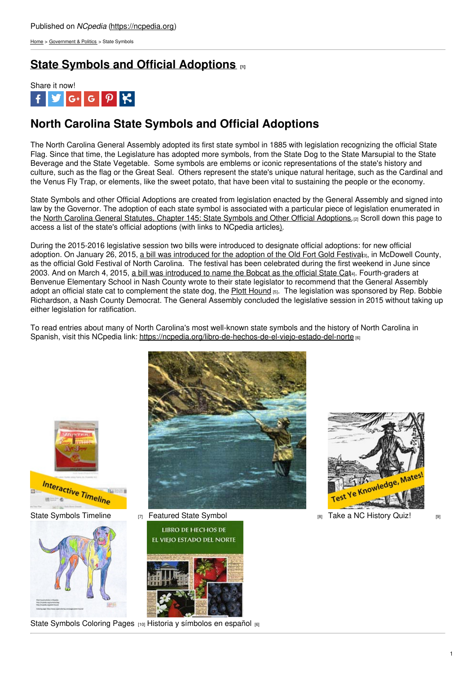[Home](https://ncpedia.org/) > [Government](https://ncpedia.org/government-politics) & Politics > State Symbols

# **State Symbols and Official [Adoptions](https://ncpedia.org/symbols) [1]**



# **North Carolina State Symbols and Official Adoptions**

The North Carolina General Assembly adopted its first state symbol in 1885 with legislation recognizing the official State Flag. Since that time, the Legislature has adopted more symbols, from the State Dog to the State Marsupial to the State Beverage and the State Vegetable. Some symbols are emblems or iconic representations of the state's history and culture, such as the flag or the Great Seal. Others represent the state's unique natural heritage, such as the Cardinal and the Venus Fly Trap, or elements, like the sweet potato, that have been vital to sustaining the people or the economy.

State Symbols and other Official Adoptions are created from legislation enacted by the General Assembly and signed into law by the Governor. The adoption of each state symbol is associated with a particular piece of legislation enumerated in the North Carolina General Statutes, [Chapter](http://www.social9.com) 145: State Symbols and Other Official [Adoptions.](https://ncpedia.org/north-carolina-state-symbols-and)[2] Scroll down this page to access a list of the state's official adoptions (with links to NCpedia articles[\)](https://ncpedia.org/symbols?page=8#North Carolina).

During the 2015-2016 legislative session two bills were introduced to designate official adoptions: for new official adoption. On January 26, 2015, a bill was [introduced](https://www.ncleg.net/Sessions/2015/Bills/House/PDF/H52v0.pdf) for the adoption of the Old Fort Gold Festivals, in McDowell County, as the official Gold Festival of North Carolina. The festival has been celebrated during the first weekend in June since 2003. And on March 4, 2015, a bill was [introduced](https://www.ncleg.gov/Sessions/2015/Bills/House/PDF/H161v1.pdf) to name the Bobcat as the official State Cat4. Fourth-graders at Benvenue Elementary School in Nash County wrote to their state legislator to recommend that the General Assembly adopt an official state cat to complement the state dog, the Plott [Hound](https://ncpedia.org/symbols/dog) [5]. The legislation was sponsored by Rep. Bobbie Richardson, a Nash County Democrat. The General Assembly concluded the legislative session in 2015 without taking up either legislation for ratification.

To read entries about many of North Carolina's most well-known state symbols and the history of North Carolina in Spanish, visit this NCpedia link: <https://ncpedia.org/libro-de-hechos-de-el-viejo-estado-del-norte> [6]



State [Symbols](https://ncpedia.org/north-carolina-history-timeline-state-symbols) Timeline  $\frac{1}{|7|}$  [Featured](https://ncpedia.org/symbols/swain-county-fly-fishing-museum) State Symbol  $\frac{1}{|8|}$  Take a NC [History](https://ncpedia.org/north-carolina-trivia-quizzes) Quiz!  $\frac{1}{|8|}$ 





**LIBRO DE HECHOS DE** EL VIEJO ESTADO DEL NORTE

State [Symbols](https://www.ncpedia.org/ncpedia-fun-activities) Coloring Pages [10] Historia y [símbolos](https://ncpedia.org/libro-de-hechos-de-el-viejo-estado-del-norte) en español [6]

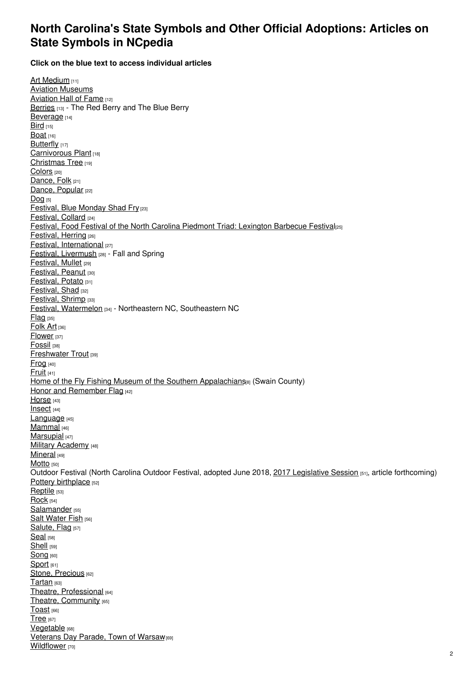### **North Carolina's State Symbols and Other Official Adoptions: Articles on State Symbols in NCpedia**

**Click on the blue text to access individual articles**

Art [Medium](https://ncpedia.org/symbols/art-medium) [11] Aviation [Museums](https://ncpedia.org/state-aviation-hall-fame-and-state) Aviation Hall of Fame [12] [Berries](https://ncpedia.org/berries-strawberry-and-blueberry) [13] - The Red Berry and The Blue Berry [Beverage](https://ncpedia.org/symbols/beverage) [14]  $Bird<sub>[15]</sub>$  $Bird<sub>[15]</sub>$ **[Boat](https://ncpedia.org/symbols/boat)** [16] [Butterfly](https://ncpedia.org/symbols/butterfly) [17] [Carnivorous](https://ncpedia.org/carnivorous-plant-venus-flytrap) Plant [18] [Christmas](https://ncpedia.org/symbols/christmastree) Tree [19] [Colors](https://ncpedia.org/symbols/colors) [20] [Dance,](https://ncpedia.org/symbols/folkdance) Folk [21] Dance, [Popular](https://ncpedia.org/symbols/populardance) [22]  $Dog$  [5] [Festival,](https://ncpedia.org/symbols/blue-monday) Blue Monday Shad Fry [23] [Festival,](https://ncpedia.org/symbol/collard-festival) Collard [24] Festival, Food Festival of the North Carolina Piedmont Triad: [Lexington](https://ncpedia.org/food-festival-lexington-barbecue) Barbecue Festival<sub>[25]</sub> [Festival,](https://ncpedia.org/symbols/herring-festival) Herring [26] Festival, [International](https://ncpedia.org/symbols/international-festival) [27] Festival, [Livermush](https://ncpedia.org/symbols/livermush-festivals) [28] - Fall and Spring [Festival,](https://ncpedia.org/symbols/mullet-festival) Mullet [29] [Festival,](https://ncpedia.org/symbols/peanut-festival) Peanut [30] **[Festival,](https://ncpedia.org/symbols/irish-potato-festival) Potato [31]** [Festival,](https://ncpedia.org/shad-festival-grifton-shad) Shad [32] [Festival,](https://ncpedia.org/symbol/shrimp-festival) Shrimp [33] Festival, [Watermelon](https://ncpedia.org/symbols/watermelon-festivals) [34] - Northeastern NC, Southeastern NC [Flag](https://ncpedia.org/symbols/flag) [35] [Folk](https://ncpedia.org/symbols/folk-art) Art [36] [Flower](https://ncpedia.org/symbols/flower) [37] [Fossil](https://ncpedia.org/fossil-fossilized-teeth-megalodon) [38] **[Freshwater](https://ncpedia.org/freshwater-trout-southern) Trout [39]**  $Frog$  [40] [Fruit](https://ncpedia.org/symbols/fruit)<sub>[41]</sub> Home of the Fly Fishing Museum of the Southern [Appalachians](https://ncpedia.org/symbols/swain-county-fly-fishing-museum)<sup>[8]</sup> (Swain County) Honor and [Remember](https://ncpedia.org/honor-and-remember-flag) Flag [42] [Horse](https://ncpedia.org/symbols/horse) [43] [Insect](https://ncpedia.org/symbols/insect) [44] [Language](https://ncpedia.org/symbols/language) [45] [Mammal](https://ncpedia.org/symbols/mammal) [46] [Marsupial](https://ncpedia.org/marsupial-virginia-opossom) [47] Military [Academy](https://ncpedia.org/military-academy-oak-ridge-military) [48] [Mineral](https://ncpedia.org/symbols/mineral) [49] [Motto](https://ncpedia.org/motto-esse-quam-videri-be-rather) [50] Outdoor Festival (North Carolina Outdoor Festival, adopted June 2018, 2017 [Legislative](https://www.ncleg.net/Sessions/2017/Bills/House/PDF/H414v4.pdf) Session [51], article forthcoming) Pottery [birthplace](https://ncpedia.org/pottery-birthplace-seagrove-area) [52] [Reptile](https://ncpedia.org/reptile-eastern-box-turtle) [53] [Rock](https://ncpedia.org/symbols/rock) [54] [Salamander](https://ncpedia.org/symbols/salamander) [55] Salt [Water](https://ncpedia.org/symbols/saltwaterfish) Fish [56] [Salute,](https://ncpedia.org/symbols/salute) Flag [57] [Seal](https://ncpedia.org/symbols/seal) [58] [Shell](https://ncpedia.org/symbols/shell) [59] [Song](https://ncpedia.org/symbols/song) [60] [Sport](https://ncpedia.org/symbols/sport) [61] Stone, [Precious](https://ncpedia.org/stone-emerald) [62] [Tartan](https://ncpedia.org/tartan-carolina) [63] Theatre, [Professional](https://ncpedia.org/symbols/theatre) [64] Theatre, [Community](https://ncpedia.org/symbols/communitytheater) [65] [Toast](https://ncpedia.org/symbols/toast) [66] [Tree](https://ncpedia.org/tree-pine) [67] **[Vegetable](https://ncpedia.org/symbols/vegetable)** [68] [Veterans](https://ncpedia.org/north-carolina-state-veterans-day) Day Parade, Town of Warsaw<sub>[69]</sub> **[Wildflower](https://ncpedia.org/symbols/wildflower)** [70]